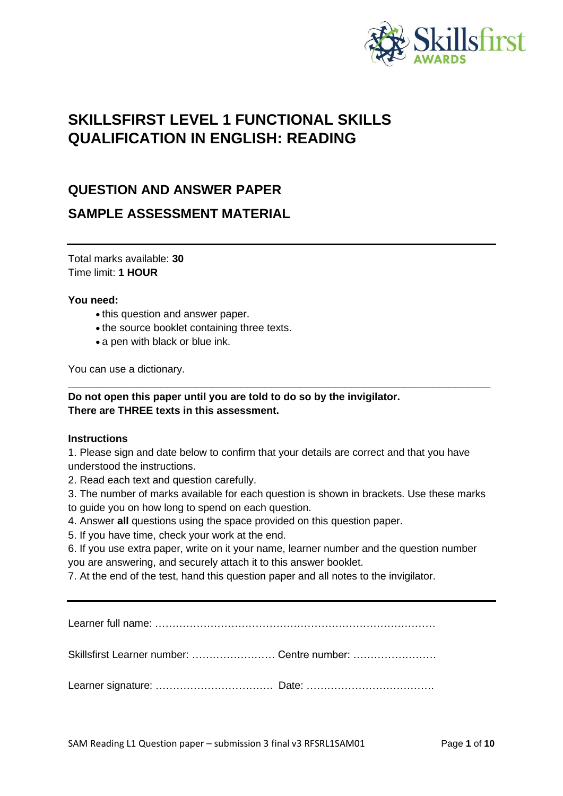

## **SKILLSFIRST LEVEL 1 FUNCTIONAL SKILLS QUALIFICATION IN ENGLISH: READING**

### **QUESTION AND ANSWER PAPER**

**SAMPLE ASSESSMENT MATERIAL**

Total marks available: **30** Time limit: **1 HOUR**

#### **You need:**

- this question and answer paper.
- the source booklet containing three texts.
- a pen with black or blue ink.

You can use a dictionary.

**Do not open this paper until you are told to do so by the invigilator. There are THREE texts in this assessment.**

#### **Instructions**

1. Please sign and date below to confirm that your details are correct and that you have understood the instructions.

**\_\_\_\_\_\_\_\_\_\_\_\_\_\_\_\_\_\_\_\_\_\_\_\_\_\_\_\_\_\_\_\_\_\_\_\_\_\_\_\_\_\_\_\_\_\_\_\_\_\_\_\_\_\_\_\_\_\_\_\_\_\_\_\_\_\_\_\_\_\_\_\_\_**

2. Read each text and question carefully.

3. The number of marks available for each question is shown in brackets. Use these marks to guide you on how long to spend on each question.

4. Answer **all** questions using the space provided on this question paper.

5. If you have time, check your work at the end.

6. If you use extra paper, write on it your name, learner number and the question number you are answering, and securely attach it to this answer booklet.

7. At the end of the test, hand this question paper and all notes to the invigilator.

Learner full name: ………………………………………………………………………

Skillsfirst Learner number: …………………… Centre number: ……………………

Learner signature: ……………………………. Date: ……………………………….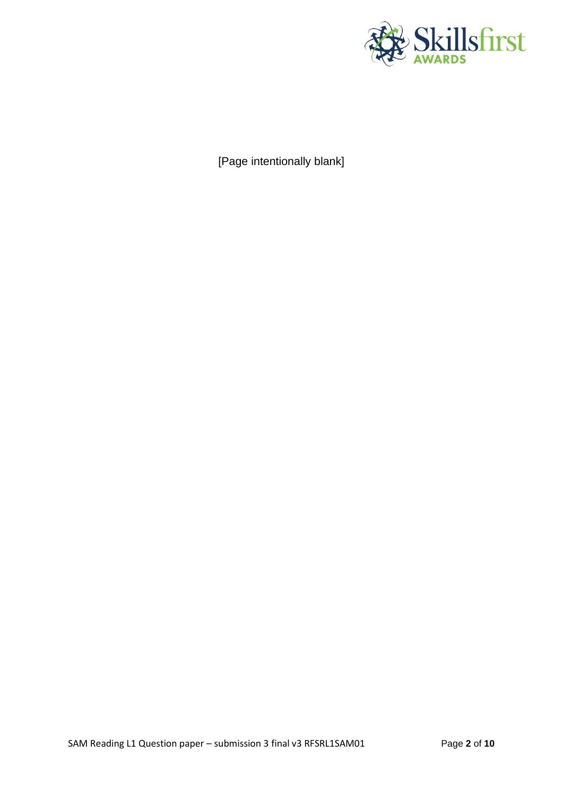

[Page intentionally blank]

SAM Reading L1 Question paper – submission 3 final v3 RFSRL1SAM01 Page **2** of **10**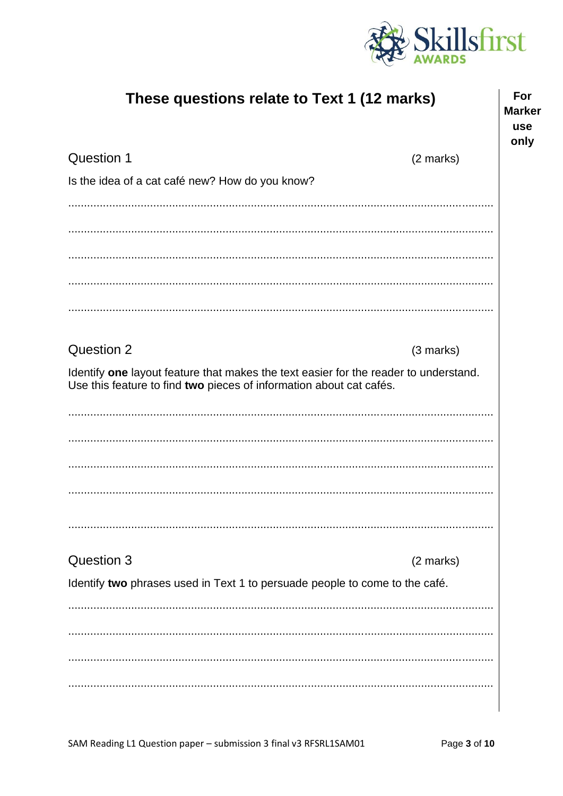

| These questions relate to Text 1 (12 marks)                                                                                                                 | For<br><b>Marker</b><br>use<br>only |
|-------------------------------------------------------------------------------------------------------------------------------------------------------------|-------------------------------------|
| <b>Question 1</b><br>(2 marks)                                                                                                                              |                                     |
| Is the idea of a cat café new? How do you know?                                                                                                             |                                     |
|                                                                                                                                                             |                                     |
|                                                                                                                                                             |                                     |
|                                                                                                                                                             |                                     |
|                                                                                                                                                             |                                     |
|                                                                                                                                                             |                                     |
|                                                                                                                                                             |                                     |
| <b>Question 2</b><br>(3 marks)                                                                                                                              |                                     |
| Identify one layout feature that makes the text easier for the reader to understand.<br>Use this feature to find two pieces of information about cat cafés. |                                     |
|                                                                                                                                                             |                                     |
|                                                                                                                                                             |                                     |
|                                                                                                                                                             |                                     |
|                                                                                                                                                             |                                     |
|                                                                                                                                                             |                                     |
|                                                                                                                                                             |                                     |
| <b>Question 3</b><br>(2 marks)                                                                                                                              |                                     |
| Identify two phrases used in Text 1 to persuade people to come to the café.                                                                                 |                                     |
|                                                                                                                                                             |                                     |
|                                                                                                                                                             |                                     |
|                                                                                                                                                             |                                     |
|                                                                                                                                                             |                                     |
|                                                                                                                                                             |                                     |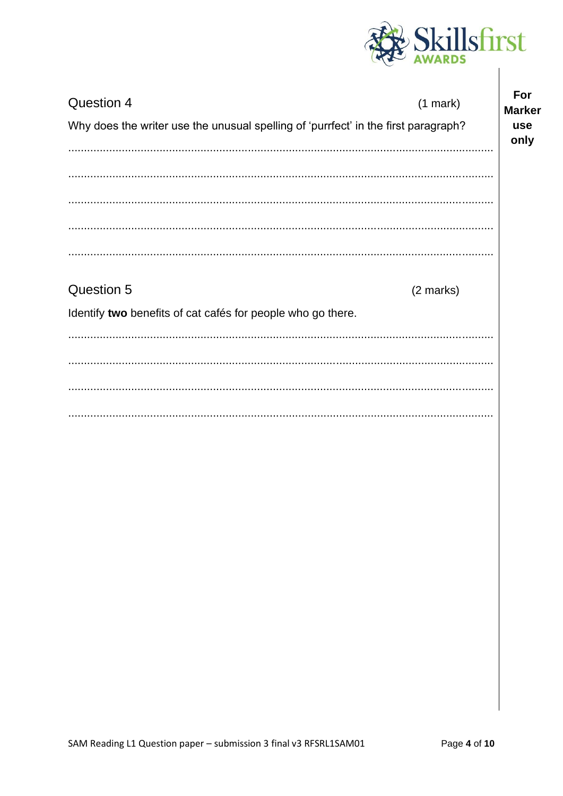

| <b>Question 4</b>                                                                  | (1 mark)  | For<br><b>Marker</b> |
|------------------------------------------------------------------------------------|-----------|----------------------|
| Why does the writer use the unusual spelling of 'purrfect' in the first paragraph? |           | <b>use</b><br>only   |
|                                                                                    |           |                      |
|                                                                                    |           |                      |
|                                                                                    |           |                      |
|                                                                                    |           |                      |
|                                                                                    |           |                      |
| <b>Question 5</b>                                                                  | (2 marks) |                      |
| Identify two benefits of cat cafés for people who go there.                        |           |                      |
|                                                                                    |           |                      |
|                                                                                    |           |                      |
|                                                                                    |           |                      |
|                                                                                    |           |                      |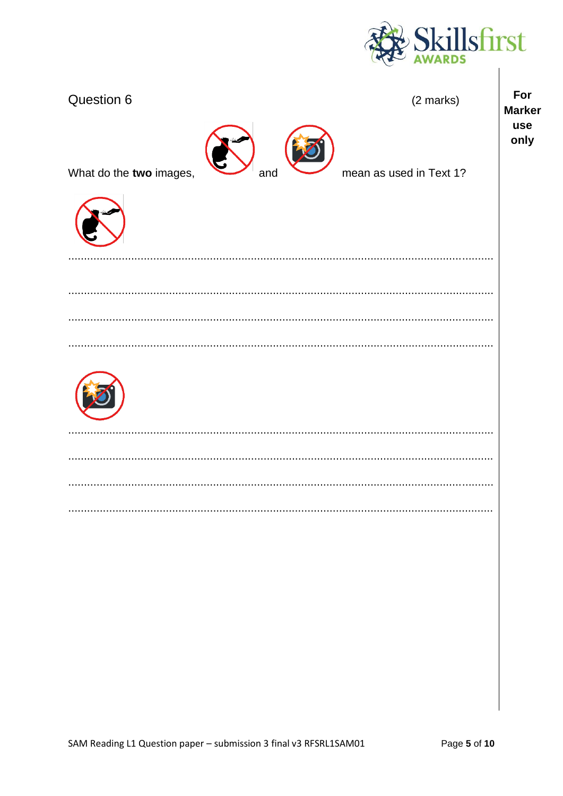

| Question 6                     | (2 marks)               | For<br><b>Marker</b> |
|--------------------------------|-------------------------|----------------------|
| What do the two images,<br>and | mean as used in Text 1? | use<br>only          |
|                                |                         |                      |
|                                |                         |                      |
|                                |                         |                      |
|                                |                         |                      |
|                                |                         |                      |
|                                |                         |                      |
|                                |                         |                      |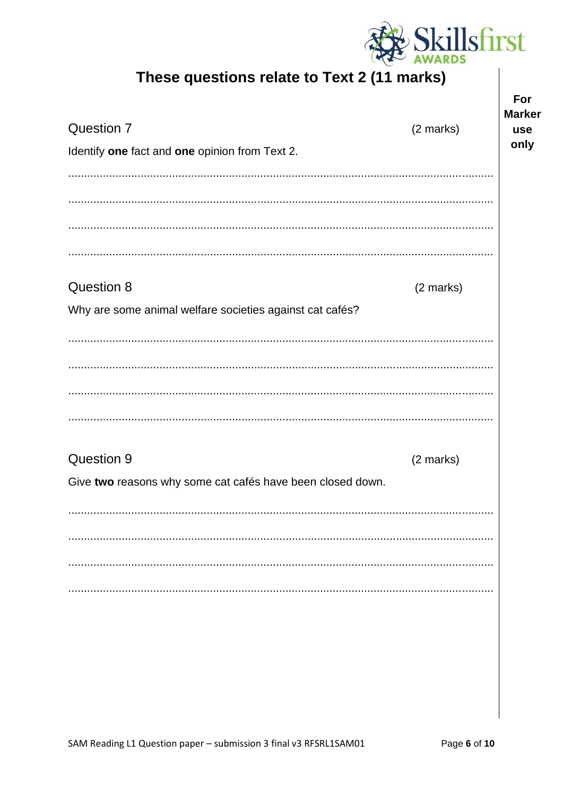

| These questions relate to Text 2 (11 marks)                |           |                             |
|------------------------------------------------------------|-----------|-----------------------------|
| <b>Question 7</b>                                          | (2 marks) | For<br><b>Marker</b><br>use |
| Identify one fact and one opinion from Text 2.             |           | only                        |
|                                                            |           |                             |
|                                                            |           |                             |
|                                                            |           |                             |
|                                                            |           |                             |
| <b>Question 8</b>                                          | (2 marks) |                             |
| Why are some animal welfare societies against cat cafés?   |           |                             |
|                                                            |           |                             |
|                                                            |           |                             |
|                                                            |           |                             |
|                                                            |           |                             |
|                                                            |           |                             |
| <b>Question 9</b>                                          | (2 marks) |                             |
| Give two reasons why some cat cafés have been closed down. |           |                             |
|                                                            |           |                             |
|                                                            |           |                             |
|                                                            |           |                             |
|                                                            |           |                             |
|                                                            |           |                             |
|                                                            |           |                             |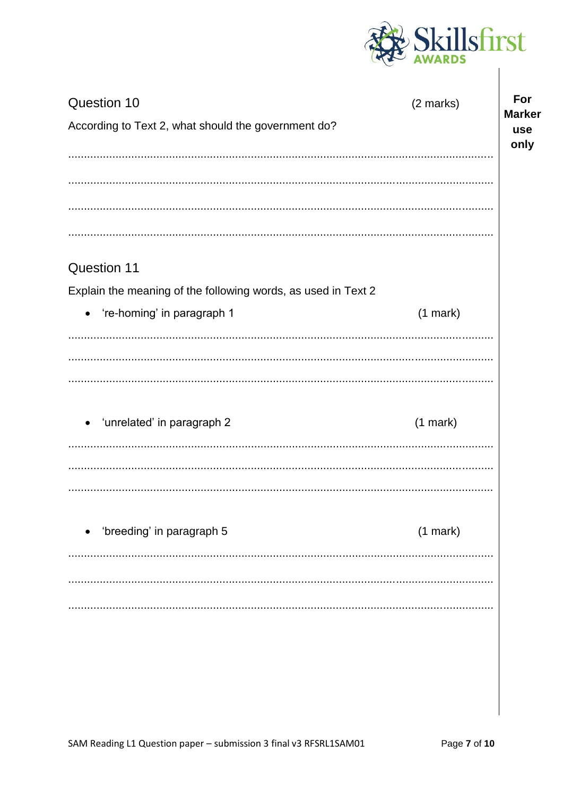

 $\overline{\phantom{a}}$ 

| <b>Question 10</b><br>According to Text 2, what should the government do?<br><b>Question 11</b> | (2 marks)  | For<br><b>Marker</b><br>use<br>only |
|-------------------------------------------------------------------------------------------------|------------|-------------------------------------|
| Explain the meaning of the following words, as used in Text 2                                   |            |                                     |
| 're-homing' in paragraph 1<br>$\bullet$                                                         | $(1$ mark) |                                     |
| 'unrelated' in paragraph 2<br>$\bullet$                                                         | $(1$ mark) |                                     |
| 'breeding' in paragraph 5                                                                       | (1 mark)   |                                     |
|                                                                                                 |            |                                     |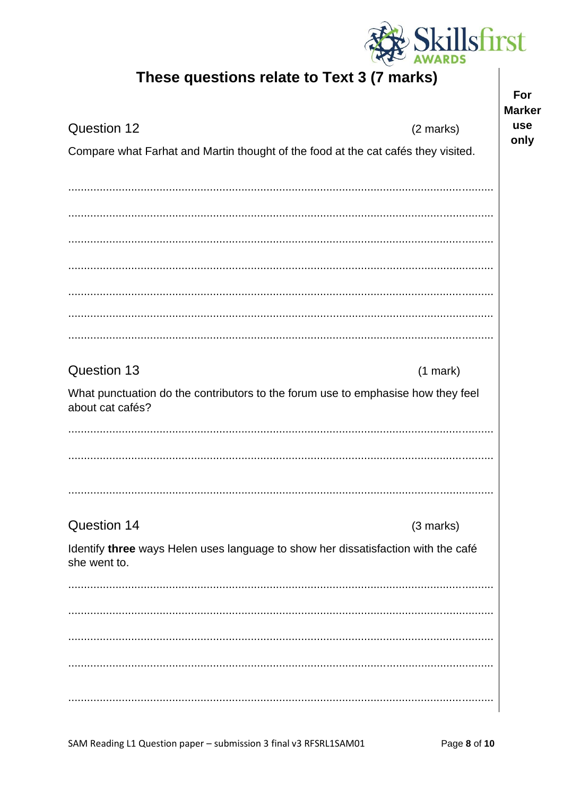

# These questions relate to Text 3 (7 marks)

|                                                                                                      | <b>Marker</b>    |  |
|------------------------------------------------------------------------------------------------------|------------------|--|
| <b>Question 12</b>                                                                                   | use<br>(2 marks) |  |
| Compare what Farhat and Martin thought of the food at the cat cafés they visited.                    | only             |  |
|                                                                                                      |                  |  |
|                                                                                                      |                  |  |
|                                                                                                      |                  |  |
|                                                                                                      |                  |  |
|                                                                                                      |                  |  |
|                                                                                                      |                  |  |
| <b>Question 13</b>                                                                                   | $(1$ mark)       |  |
| What punctuation do the contributors to the forum use to emphasise how they feel<br>about cat cafés? |                  |  |
|                                                                                                      |                  |  |
|                                                                                                      |                  |  |
|                                                                                                      |                  |  |
| <b>Question 14</b>                                                                                   | $(3$ marks)      |  |
| Identify three ways Helen uses language to show her dissatisfaction with the café<br>she went to.    |                  |  |
|                                                                                                      |                  |  |
|                                                                                                      |                  |  |
|                                                                                                      |                  |  |
|                                                                                                      |                  |  |
|                                                                                                      |                  |  |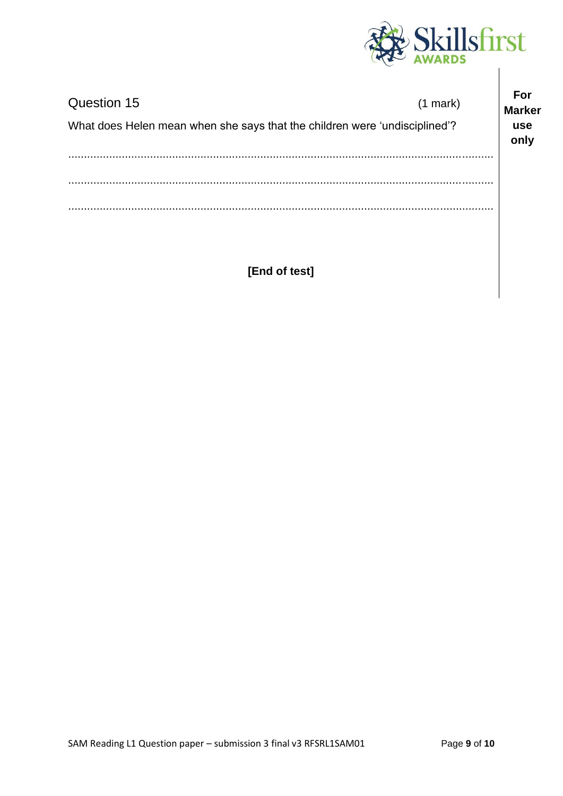

| <b>Question 15</b>                                                         | $(1$ mark) | For<br><b>Marker</b> |
|----------------------------------------------------------------------------|------------|----------------------|
| What does Helen mean when she says that the children were 'undisciplined'? |            | use<br>only          |
|                                                                            |            |                      |
|                                                                            |            |                      |
|                                                                            |            |                      |

[End of test]